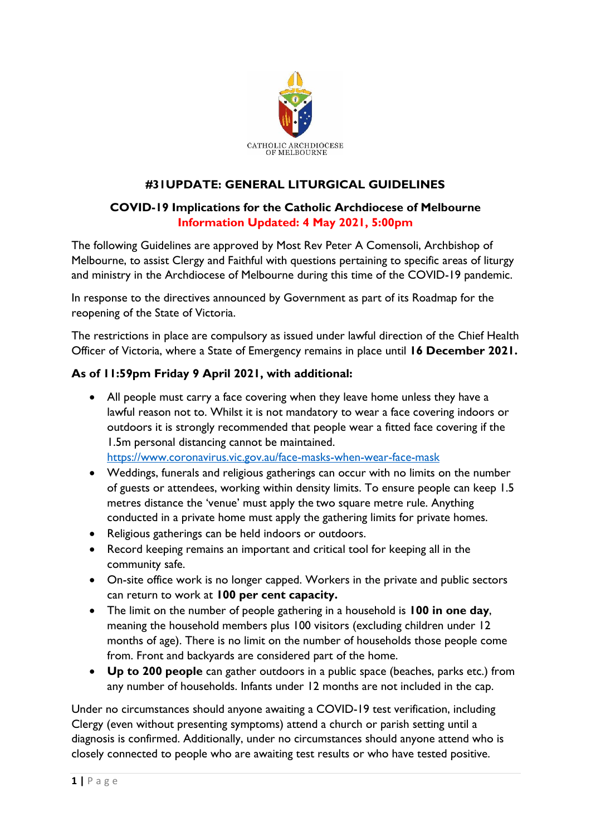

# **#31UPDATE: GENERAL LITURGICAL GUIDELINES**

### **COVID-19 Implications for the Catholic Archdiocese of Melbourne Information Updated: 4 May 2021, 5:00pm**

The following Guidelines are approved by Most Rev Peter A Comensoli, Archbishop of Melbourne, to assist Clergy and Faithful with questions pertaining to specific areas of liturgy and ministry in the Archdiocese of Melbourne during this time of the COVID-19 pandemic.

In response to the directives announced by Government as part of its Roadmap for the reopening of the State of Victoria.

The restrictions in place are compulsory as issued under lawful direction of the Chief Health Officer of Victoria, where a State of Emergency remains in place until **16 December 2021.**

## **As of 11:59pm Friday 9 April 2021, with additional:**

- All people must carry a face covering when they leave home unless they have a lawful reason not to. Whilst it is not mandatory to wear a face covering indoors or outdoors it is strongly recommended that people wear a fitted face covering if the 1.5m personal distancing cannot be maintained. <https://www.coronavirus.vic.gov.au/face-masks-when-wear-face-mask>
- Weddings, funerals and religious gatherings can occur with no limits on the number of guests or attendees, working within density limits. To ensure people can keep 1.5 metres distance the 'venue' must apply the two square metre rule. Anything conducted in a private home must apply the gathering limits for private homes.
- Religious gatherings can be held indoors or outdoors.
- Record keeping remains an important and critical tool for keeping all in the community safe.
- On-site office work is no longer capped. Workers in the private and public sectors can return to work at **100 per cent capacity.**
- The limit on the number of people gathering in a household is **100 in one day**, meaning the household members plus 100 visitors (excluding children under 12 months of age). There is no limit on the number of households those people come from. Front and backyards are considered part of the home.
- **Up to 200 people** can gather outdoors in a public space (beaches, parks etc.) from any number of households. Infants under 12 months are not included in the cap.

Under no circumstances should anyone awaiting a COVID-19 test verification, including Clergy (even without presenting symptoms) attend a church or parish setting until a diagnosis is confirmed. Additionally, under no circumstances should anyone attend who is closely connected to people who are awaiting test results or who have tested positive.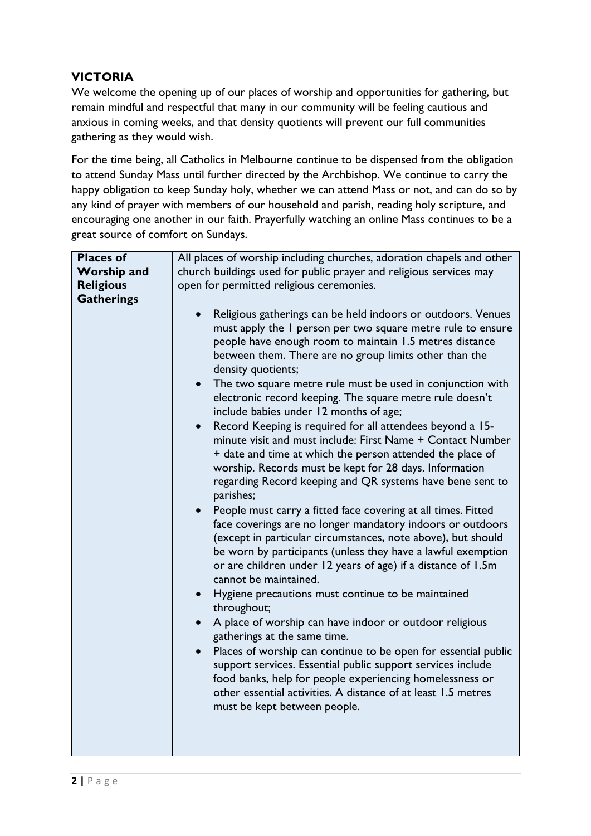## **VICTORIA**

We welcome the opening up of our places of worship and opportunities for gathering, but remain mindful and respectful that many in our community will be feeling cautious and anxious in coming weeks, and that density quotients will prevent our full communities gathering as they would wish.

For the time being, all Catholics in Melbourne continue to be dispensed from the obligation to attend Sunday Mass until further directed by the Archbishop. We continue to carry the happy obligation to keep Sunday holy, whether we can attend Mass or not, and can do so by any kind of prayer with members of our household and parish, reading holy scripture, and encouraging one another in our faith. Prayerfully watching an online Mass continues to be a great source of comfort on Sundays.

| <b>Places of</b>   | All places of worship including churches, adoration chapels and other                                                                                                                                                                                                                                                                                                                                                                                                                                                                                                                                                                                                                                                                                                                                                                                                                                                                                                                                                                                                                                                                                                                                                                                                                                                                                                                                                                                                                                                                                                                                                  |
|--------------------|------------------------------------------------------------------------------------------------------------------------------------------------------------------------------------------------------------------------------------------------------------------------------------------------------------------------------------------------------------------------------------------------------------------------------------------------------------------------------------------------------------------------------------------------------------------------------------------------------------------------------------------------------------------------------------------------------------------------------------------------------------------------------------------------------------------------------------------------------------------------------------------------------------------------------------------------------------------------------------------------------------------------------------------------------------------------------------------------------------------------------------------------------------------------------------------------------------------------------------------------------------------------------------------------------------------------------------------------------------------------------------------------------------------------------------------------------------------------------------------------------------------------------------------------------------------------------------------------------------------------|
| <b>Worship and</b> | church buildings used for public prayer and religious services may                                                                                                                                                                                                                                                                                                                                                                                                                                                                                                                                                                                                                                                                                                                                                                                                                                                                                                                                                                                                                                                                                                                                                                                                                                                                                                                                                                                                                                                                                                                                                     |
| <b>Religious</b>   | open for permitted religious ceremonies.                                                                                                                                                                                                                                                                                                                                                                                                                                                                                                                                                                                                                                                                                                                                                                                                                                                                                                                                                                                                                                                                                                                                                                                                                                                                                                                                                                                                                                                                                                                                                                               |
|                    |                                                                                                                                                                                                                                                                                                                                                                                                                                                                                                                                                                                                                                                                                                                                                                                                                                                                                                                                                                                                                                                                                                                                                                                                                                                                                                                                                                                                                                                                                                                                                                                                                        |
| <b>Gatherings</b>  | Religious gatherings can be held indoors or outdoors. Venues<br>$\bullet$<br>must apply the I person per two square metre rule to ensure<br>people have enough room to maintain 1.5 metres distance<br>between them. There are no group limits other than the<br>density quotients;<br>The two square metre rule must be used in conjunction with<br>electronic record keeping. The square metre rule doesn't<br>include babies under 12 months of age;<br>Record Keeping is required for all attendees beyond a 15-<br>minute visit and must include: First Name + Contact Number<br>+ date and time at which the person attended the place of<br>worship. Records must be kept for 28 days. Information<br>regarding Record keeping and QR systems have bene sent to<br>parishes;<br>People must carry a fitted face covering at all times. Fitted<br>$\bullet$<br>face coverings are no longer mandatory indoors or outdoors<br>(except in particular circumstances, note above), but should<br>be worn by participants (unless they have a lawful exemption<br>or are children under 12 years of age) if a distance of 1.5m<br>cannot be maintained.<br>Hygiene precautions must continue to be maintained<br>throughout;<br>A place of worship can have indoor or outdoor religious<br>gatherings at the same time.<br>Places of worship can continue to be open for essential public<br>support services. Essential public support services include<br>food banks, help for people experiencing homelessness or<br>other essential activities. A distance of at least 1.5 metres<br>must be kept between people. |
|                    |                                                                                                                                                                                                                                                                                                                                                                                                                                                                                                                                                                                                                                                                                                                                                                                                                                                                                                                                                                                                                                                                                                                                                                                                                                                                                                                                                                                                                                                                                                                                                                                                                        |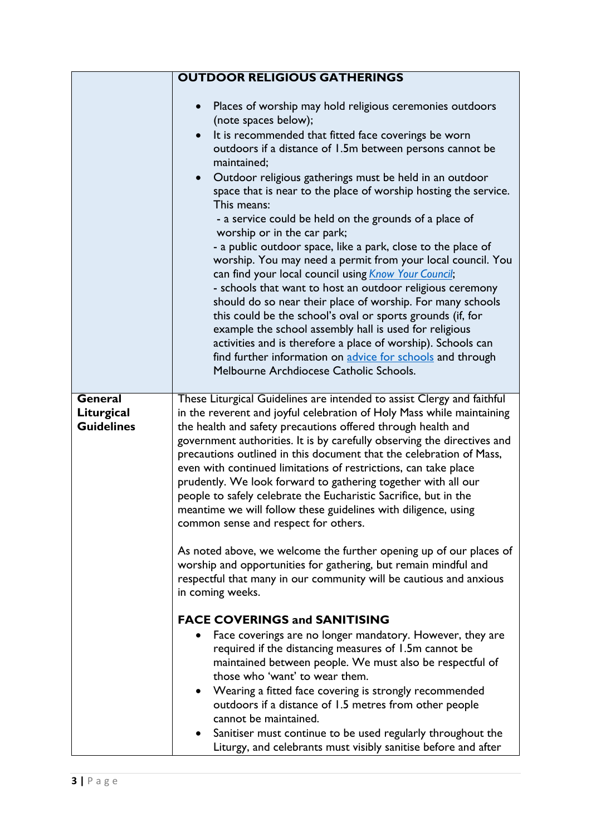|                                            | <b>OUTDOOR RELIGIOUS GATHERINGS</b>                                                                                                                                                                                                                                                                                                                                                                                                                                                                                                                                                                                                                                                                                                                                                                                                                                                                                                                                                                                                                                                                                                                                                                                                                                                                                                                                                                                                                                                        |
|--------------------------------------------|--------------------------------------------------------------------------------------------------------------------------------------------------------------------------------------------------------------------------------------------------------------------------------------------------------------------------------------------------------------------------------------------------------------------------------------------------------------------------------------------------------------------------------------------------------------------------------------------------------------------------------------------------------------------------------------------------------------------------------------------------------------------------------------------------------------------------------------------------------------------------------------------------------------------------------------------------------------------------------------------------------------------------------------------------------------------------------------------------------------------------------------------------------------------------------------------------------------------------------------------------------------------------------------------------------------------------------------------------------------------------------------------------------------------------------------------------------------------------------------------|
|                                            | Places of worship may hold religious ceremonies outdoors<br>(note spaces below);<br>It is recommended that fitted face coverings be worn<br>outdoors if a distance of 1.5m between persons cannot be<br>maintained;<br>Outdoor religious gatherings must be held in an outdoor<br>$\bullet$<br>space that is near to the place of worship hosting the service.<br>This means:<br>- a service could be held on the grounds of a place of<br>worship or in the car park;<br>- a public outdoor space, like a park, close to the place of<br>worship. You may need a permit from your local council. You<br>can find your local council using Know Your Council;<br>- schools that want to host an outdoor religious ceremony<br>should do so near their place of worship. For many schools<br>this could be the school's oval or sports grounds (if, for<br>example the school assembly hall is used for religious<br>activities and is therefore a place of worship). Schools can<br>find further information on advice for schools and through<br>Melbourne Archdiocese Catholic Schools.                                                                                                                                                                                                                                                                                                                                                                                                  |
| General<br>Liturgical<br><b>Guidelines</b> | These Liturgical Guidelines are intended to assist Clergy and faithful<br>in the reverent and joyful celebration of Holy Mass while maintaining<br>the health and safety precautions offered through health and<br>government authorities. It is by carefully observing the directives and<br>precautions outlined in this document that the celebration of Mass,<br>even with continued limitations of restrictions, can take place<br>prudently. We look forward to gathering together with all our<br>people to safely celebrate the Eucharistic Sacrifice, but in the<br>meantime we will follow these guidelines with diligence, using<br>common sense and respect for others.<br>As noted above, we welcome the further opening up of our places of<br>worship and opportunities for gathering, but remain mindful and<br>respectful that many in our community will be cautious and anxious<br>in coming weeks.<br><b>FACE COVERINGS and SANITISING</b><br>Face coverings are no longer mandatory. However, they are<br>required if the distancing measures of 1.5m cannot be<br>maintained between people. We must also be respectful of<br>those who 'want' to wear them.<br>Wearing a fitted face covering is strongly recommended<br>$\bullet$<br>outdoors if a distance of 1.5 metres from other people<br>cannot be maintained.<br>Sanitiser must continue to be used regularly throughout the<br>$\bullet$<br>Liturgy, and celebrants must visibly sanitise before and after |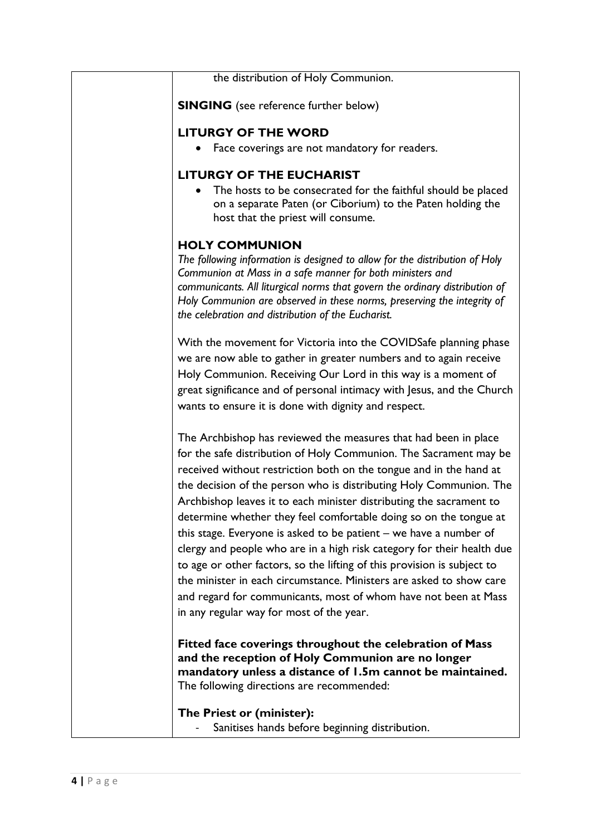the distribution of Holy Communion.

**SINGING** (see reference further below)

#### **LITURGY OF THE WORD**

Face coverings are not mandatory for readers.

#### **LITURGY OF THE EUCHARIST**

 The hosts to be consecrated for the faithful should be placed on a separate Paten (or Ciborium) to the Paten holding the host that the priest will consume.

### **HOLY COMMUNION**

*The following information is designed to allow for the distribution of Holy Communion at Mass in a safe manner for both ministers and communicants. All liturgical norms that govern the ordinary distribution of Holy Communion are observed in these norms, preserving the integrity of the celebration and distribution of the Eucharist.*

With the movement for Victoria into the COVIDSafe planning phase we are now able to gather in greater numbers and to again receive Holy Communion. Receiving Our Lord in this way is a moment of great significance and of personal intimacy with Jesus, and the Church wants to ensure it is done with dignity and respect.

The Archbishop has reviewed the measures that had been in place for the safe distribution of Holy Communion. The Sacrament may be received without restriction both on the tongue and in the hand at the decision of the person who is distributing Holy Communion. The Archbishop leaves it to each minister distributing the sacrament to determine whether they feel comfortable doing so on the tongue at this stage. Everyone is asked to be patient – we have a number of clergy and people who are in a high risk category for their health due to age or other factors, so the lifting of this provision is subject to the minister in each circumstance. Ministers are asked to show care and regard for communicants, most of whom have not been at Mass in any regular way for most of the year.

**Fitted face coverings throughout the celebration of Mass and the reception of Holy Communion are no longer mandatory unless a distance of 1.5m cannot be maintained.**  The following directions are recommended:

**The Priest or (minister):**

Sanitises hands before beginning distribution.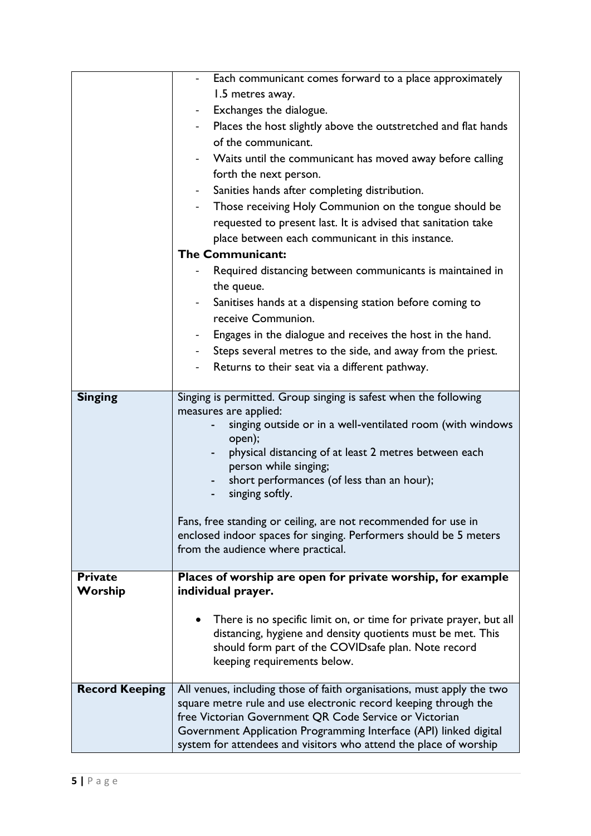|                       | - Each communicant comes forward to a place approximately                                                                           |
|-----------------------|-------------------------------------------------------------------------------------------------------------------------------------|
|                       | 1.5 metres away.                                                                                                                    |
|                       | Exchanges the dialogue.                                                                                                             |
|                       | Places the host slightly above the outstretched and flat hands                                                                      |
|                       | of the communicant.                                                                                                                 |
|                       | Waits until the communicant has moved away before calling                                                                           |
|                       | forth the next person.                                                                                                              |
|                       | Sanities hands after completing distribution.                                                                                       |
|                       | Those receiving Holy Communion on the tongue should be                                                                              |
|                       | requested to present last. It is advised that sanitation take                                                                       |
|                       | place between each communicant in this instance.                                                                                    |
|                       | <b>The Communicant:</b>                                                                                                             |
|                       | Required distancing between communicants is maintained in                                                                           |
|                       | the queue.                                                                                                                          |
|                       | Sanitises hands at a dispensing station before coming to                                                                            |
|                       | receive Communion.                                                                                                                  |
|                       | Engages in the dialogue and receives the host in the hand.                                                                          |
|                       | Steps several metres to the side, and away from the priest.                                                                         |
|                       | Returns to their seat via a different pathway.                                                                                      |
|                       |                                                                                                                                     |
| <b>Singing</b>        | Singing is permitted. Group singing is safest when the following                                                                    |
|                       | measures are applied:                                                                                                               |
|                       | singing outside or in a well-ventilated room (with windows<br>open);                                                                |
|                       | physical distancing of at least 2 metres between each<br>۰.                                                                         |
|                       | person while singing;                                                                                                               |
|                       | short performances (of less than an hour);                                                                                          |
|                       | singing softly.                                                                                                                     |
|                       |                                                                                                                                     |
|                       | Fans, free standing or ceiling, are not recommended for use in<br>enclosed indoor spaces for singing. Performers should be 5 meters |
|                       | from the audience where practical.                                                                                                  |
|                       |                                                                                                                                     |
| <b>Private</b>        | Places of worship are open for private worship, for example                                                                         |
| Worship               | individual prayer.                                                                                                                  |
|                       | There is no specific limit on, or time for private prayer, but all                                                                  |
|                       | distancing, hygiene and density quotients must be met. This                                                                         |
|                       | should form part of the COVIDsafe plan. Note record                                                                                 |
|                       | keeping requirements below.                                                                                                         |
|                       |                                                                                                                                     |
| <b>Record Keeping</b> | All venues, including those of faith organisations, must apply the two                                                              |
|                       | square metre rule and use electronic record keeping through the<br>free Victorian Government QR Code Service or Victorian           |
|                       | Government Application Programming Interface (API) linked digital                                                                   |
|                       | system for attendees and visitors who attend the place of worship                                                                   |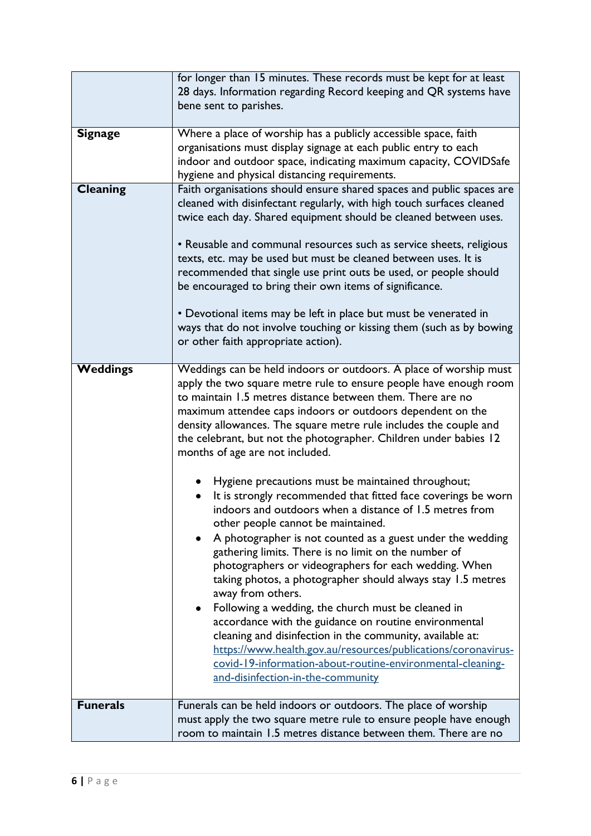|                 | for longer than 15 minutes. These records must be kept for at least<br>28 days. Information regarding Record keeping and QR systems have<br>bene sent to parishes.                                                                                                                                                                                                                                                                                                                                                                                                                                                                                                                                                                                                                                                                                                                                                                                                                                                                                                                                                                                                                                                                                                                         |
|-----------------|--------------------------------------------------------------------------------------------------------------------------------------------------------------------------------------------------------------------------------------------------------------------------------------------------------------------------------------------------------------------------------------------------------------------------------------------------------------------------------------------------------------------------------------------------------------------------------------------------------------------------------------------------------------------------------------------------------------------------------------------------------------------------------------------------------------------------------------------------------------------------------------------------------------------------------------------------------------------------------------------------------------------------------------------------------------------------------------------------------------------------------------------------------------------------------------------------------------------------------------------------------------------------------------------|
| <b>Signage</b>  | Where a place of worship has a publicly accessible space, faith<br>organisations must display signage at each public entry to each<br>indoor and outdoor space, indicating maximum capacity, COVIDSafe<br>hygiene and physical distancing requirements.                                                                                                                                                                                                                                                                                                                                                                                                                                                                                                                                                                                                                                                                                                                                                                                                                                                                                                                                                                                                                                    |
| Cleaning        | Faith organisations should ensure shared spaces and public spaces are<br>cleaned with disinfectant regularly, with high touch surfaces cleaned<br>twice each day. Shared equipment should be cleaned between uses.<br>• Reusable and communal resources such as service sheets, religious<br>texts, etc. may be used but must be cleaned between uses. It is<br>recommended that single use print outs be used, or people should<br>be encouraged to bring their own items of significance.<br>• Devotional items may be left in place but must be venerated in<br>ways that do not involve touching or kissing them (such as by bowing<br>or other faith appropriate action).                                                                                                                                                                                                                                                                                                                                                                                                                                                                                                                                                                                                             |
| <b>Weddings</b> | Weddings can be held indoors or outdoors. A place of worship must<br>apply the two square metre rule to ensure people have enough room<br>to maintain 1.5 metres distance between them. There are no<br>maximum attendee caps indoors or outdoors dependent on the<br>density allowances. The square metre rule includes the couple and<br>the celebrant, but not the photographer. Children under babies 12<br>months of age are not included.<br>Hygiene precautions must be maintained throughout;<br>It is strongly recommended that fitted face coverings be worn<br>indoors and outdoors when a distance of 1.5 metres from<br>other people cannot be maintained.<br>A photographer is not counted as a guest under the wedding<br>gathering limits. There is no limit on the number of<br>photographers or videographers for each wedding. When<br>taking photos, a photographer should always stay 1.5 metres<br>away from others.<br>Following a wedding, the church must be cleaned in<br>accordance with the guidance on routine environmental<br>cleaning and disinfection in the community, available at:<br>https://www.health.gov.au/resources/publications/coronavirus-<br>covid-19-information-about-routine-environmental-cleaning-<br>and-disinfection-in-the-community |
| <b>Funerals</b> | Funerals can be held indoors or outdoors. The place of worship<br>must apply the two square metre rule to ensure people have enough<br>room to maintain 1.5 metres distance between them. There are no                                                                                                                                                                                                                                                                                                                                                                                                                                                                                                                                                                                                                                                                                                                                                                                                                                                                                                                                                                                                                                                                                     |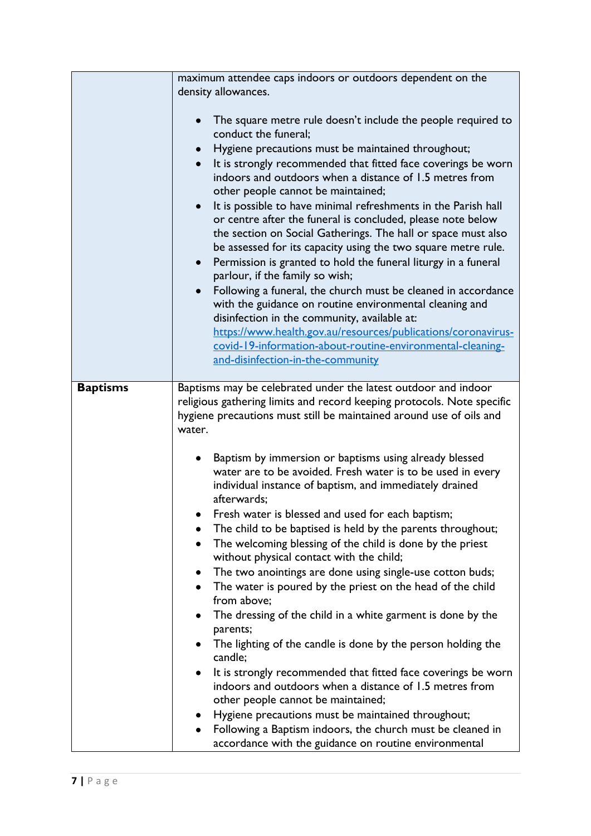|                 | maximum attendee caps indoors or outdoors dependent on the<br>density allowances.<br>The square metre rule doesn't include the people required to<br>conduct the funeral;<br>Hygiene precautions must be maintained throughout;<br>It is strongly recommended that fitted face coverings be worn<br>indoors and outdoors when a distance of 1.5 metres from<br>other people cannot be maintained;<br>It is possible to have minimal refreshments in the Parish hall<br>or centre after the funeral is concluded, please note below<br>the section on Social Gatherings. The hall or space must also<br>be assessed for its capacity using the two square metre rule.<br>Permission is granted to hold the funeral liturgy in a funeral<br>$\bullet$<br>parlour, if the family so wish;<br>Following a funeral, the church must be cleaned in accordance<br>with the guidance on routine environmental cleaning and<br>disinfection in the community, available at:<br>https://www.health.gov.au/resources/publications/coronavirus-<br>covid-19-information-about-routine-environmental-cleaning-<br>and-disinfection-in-the-community                                                                                                                                                                                     |
|-----------------|----------------------------------------------------------------------------------------------------------------------------------------------------------------------------------------------------------------------------------------------------------------------------------------------------------------------------------------------------------------------------------------------------------------------------------------------------------------------------------------------------------------------------------------------------------------------------------------------------------------------------------------------------------------------------------------------------------------------------------------------------------------------------------------------------------------------------------------------------------------------------------------------------------------------------------------------------------------------------------------------------------------------------------------------------------------------------------------------------------------------------------------------------------------------------------------------------------------------------------------------------------------------------------------------------------------------------|
| <b>Baptisms</b> | Baptisms may be celebrated under the latest outdoor and indoor<br>religious gathering limits and record keeping protocols. Note specific<br>hygiene precautions must still be maintained around use of oils and<br>water.<br>Baptism by immersion or baptisms using already blessed<br>water are to be avoided. Fresh water is to be used in every<br>individual instance of baptism, and immediately drained<br>afterwards;<br>Fresh water is blessed and used for each baptism;<br>The child to be baptised is held by the parents throughout;<br>The welcoming blessing of the child is done by the priest<br>٠<br>without physical contact with the child;<br>The two anointings are done using single-use cotton buds;<br>The water is poured by the priest on the head of the child<br>$\bullet$<br>from above:<br>The dressing of the child in a white garment is done by the<br>parents;<br>The lighting of the candle is done by the person holding the<br>candle;<br>It is strongly recommended that fitted face coverings be worn<br>indoors and outdoors when a distance of 1.5 metres from<br>other people cannot be maintained;<br>Hygiene precautions must be maintained throughout;<br>Following a Baptism indoors, the church must be cleaned in<br>accordance with the guidance on routine environmental |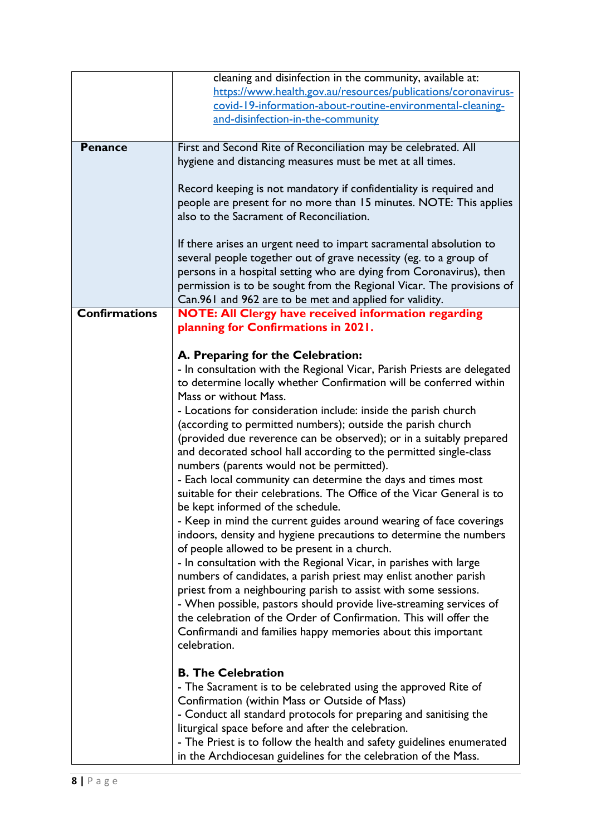|                      | cleaning and disinfection in the community, available at:               |
|----------------------|-------------------------------------------------------------------------|
|                      | https://www.health.gov.au/resources/publications/coronavirus-           |
|                      |                                                                         |
|                      | covid-19-information-about-routine-environmental-cleaning-              |
|                      | and-disinfection-in-the-community                                       |
|                      |                                                                         |
| <b>Penance</b>       | First and Second Rite of Reconciliation may be celebrated. All          |
|                      | hygiene and distancing measures must be met at all times.               |
|                      |                                                                         |
|                      |                                                                         |
|                      | Record keeping is not mandatory if confidentiality is required and      |
|                      | people are present for no more than 15 minutes. NOTE: This applies      |
|                      | also to the Sacrament of Reconciliation.                                |
|                      |                                                                         |
|                      | If there arises an urgent need to impart sacramental absolution to      |
|                      |                                                                         |
|                      | several people together out of grave necessity (eg. to a group of       |
|                      | persons in a hospital setting who are dying from Coronavirus), then     |
|                      | permission is to be sought from the Regional Vicar. The provisions of   |
|                      | Can.961 and 962 are to be met and applied for validity.                 |
| <b>Confirmations</b> | <b>NOTE: All Clergy have received information regarding</b>             |
|                      | planning for Confirmations in 2021.                                     |
|                      |                                                                         |
|                      |                                                                         |
|                      | A. Preparing for the Celebration:                                       |
|                      | - In consultation with the Regional Vicar, Parish Priests are delegated |
|                      | to determine locally whether Confirmation will be conferred within      |
|                      | Mass or without Mass.                                                   |
|                      | - Locations for consideration include: inside the parish church         |
|                      | (according to permitted numbers); outside the parish church             |
|                      | (provided due reverence can be observed); or in a suitably prepared     |
|                      |                                                                         |
|                      | and decorated school hall according to the permitted single-class       |
|                      | numbers (parents would not be permitted).                               |
|                      | - Each local community can determine the days and times most            |
|                      | suitable for their celebrations. The Office of the Vicar General is to  |
|                      | be kept informed of the schedule.                                       |
|                      | - Keep in mind the current guides around wearing of face coverings      |
|                      |                                                                         |
|                      | indoors, density and hygiene precautions to determine the numbers       |
|                      | of people allowed to be present in a church.                            |
|                      | - In consultation with the Regional Vicar, in parishes with large       |
|                      | numbers of candidates, a parish priest may enlist another parish        |
|                      | priest from a neighbouring parish to assist with some sessions.         |
|                      | - When possible, pastors should provide live-streaming services of      |
|                      | the celebration of the Order of Confirmation. This will offer the       |
|                      |                                                                         |
|                      | Confirmandi and families happy memories about this important            |
|                      | celebration.                                                            |
|                      |                                                                         |
|                      | <b>B. The Celebration</b>                                               |
|                      | - The Sacrament is to be celebrated using the approved Rite of          |
|                      | Confirmation (within Mass or Outside of Mass)                           |
|                      | - Conduct all standard protocols for preparing and sanitising the       |
|                      | liturgical space before and after the celebration.                      |
|                      |                                                                         |
|                      | - The Priest is to follow the health and safety guidelines enumerated   |
|                      | in the Archdiocesan guidelines for the celebration of the Mass.         |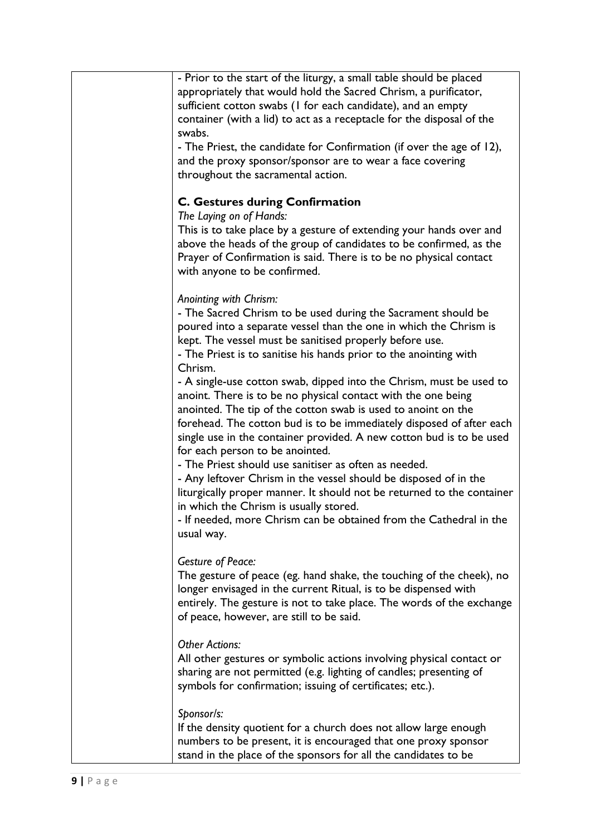| - Prior to the start of the liturgy, a small table should be placed    |
|------------------------------------------------------------------------|
|                                                                        |
| appropriately that would hold the Sacred Chrism, a purificator,        |
| sufficient cotton swabs (I for each candidate), and an empty           |
| container (with a lid) to act as a receptacle for the disposal of the  |
| swabs.                                                                 |
| - The Priest, the candidate for Confirmation (if over the age of 12),  |
| and the proxy sponsor/sponsor are to wear a face covering              |
| throughout the sacramental action.                                     |
|                                                                        |
| <b>C. Gestures during Confirmation</b>                                 |
| The Laying on of Hands:                                                |
| This is to take place by a gesture of extending your hands over and    |
| above the heads of the group of candidates to be confirmed, as the     |
| Prayer of Confirmation is said. There is to be no physical contact     |
| with anyone to be confirmed.                                           |
|                                                                        |
| Anointing with Chrism:                                                 |
| - The Sacred Chrism to be used during the Sacrament should be          |
| poured into a separate vessel than the one in which the Chrism is      |
| kept. The vessel must be sanitised properly before use.                |
| - The Priest is to sanitise his hands prior to the anointing with      |
| Chrism.                                                                |
|                                                                        |
| - A single-use cotton swab, dipped into the Chrism, must be used to    |
| anoint. There is to be no physical contact with the one being          |
| anointed. The tip of the cotton swab is used to anoint on the          |
| forehead. The cotton bud is to be immediately disposed of after each   |
| single use in the container provided. A new cotton bud is to be used   |
| for each person to be anointed.                                        |
| - The Priest should use sanitiser as often as needed.                  |
| - Any leftover Chrism in the vessel should be disposed of in the       |
| liturgically proper manner. It should not be returned to the container |
| in which the Chrism is usually stored.                                 |
| - If needed, more Chrism can be obtained from the Cathedral in the     |
| usual way.                                                             |
|                                                                        |
| <b>Gesture of Peace:</b>                                               |
| The gesture of peace (eg. hand shake, the touching of the cheek), no   |
| longer envisaged in the current Ritual, is to be dispensed with        |
| entirely. The gesture is not to take place. The words of the exchange  |
| of peace, however, are still to be said.                               |
|                                                                        |
| <b>Other Actions:</b>                                                  |
| All other gestures or symbolic actions involving physical contact or   |
|                                                                        |
| sharing are not permitted (e.g. lighting of candles; presenting of     |
| symbols for confirmation; issuing of certificates; etc.).              |
| Sponsor/s:                                                             |
|                                                                        |
| If the density quotient for a church does not allow large enough       |
| numbers to be present, it is encouraged that one proxy sponsor         |
| stand in the place of the sponsors for all the candidates to be        |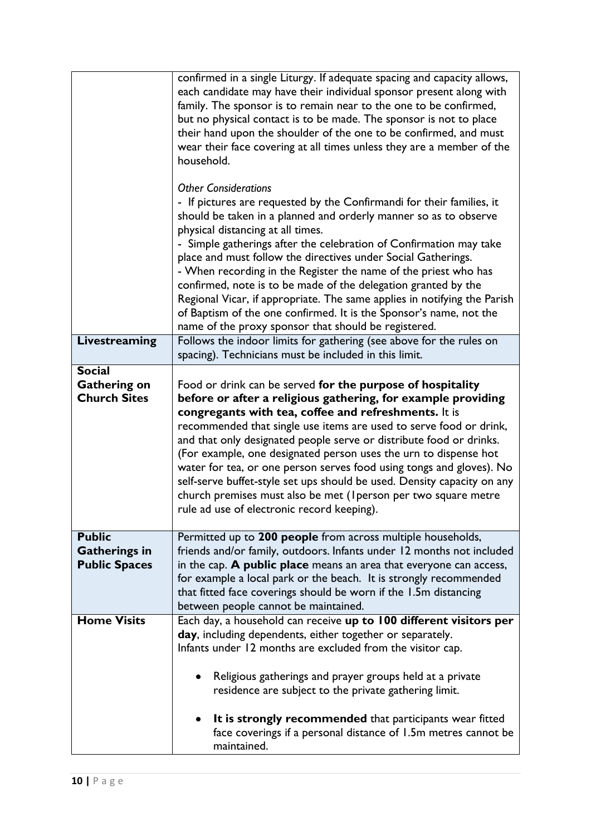|                                                                                     | confirmed in a single Liturgy. If adequate spacing and capacity allows,<br>each candidate may have their individual sponsor present along with<br>family. The sponsor is to remain near to the one to be confirmed,<br>but no physical contact is to be made. The sponsor is not to place<br>their hand upon the shoulder of the one to be confirmed, and must<br>wear their face covering at all times unless they are a member of the<br>household.<br><b>Other Considerations</b><br>- If pictures are requested by the Confirmandi for their families, it<br>should be taken in a planned and orderly manner so as to observe<br>physical distancing at all times.<br>- Simple gatherings after the celebration of Confirmation may take<br>place and must follow the directives under Social Gatherings.<br>- When recording in the Register the name of the priest who has<br>confirmed, note is to be made of the delegation granted by the<br>Regional Vicar, if appropriate. The same applies in notifying the Parish<br>of Baptism of the one confirmed. It is the Sponsor's name, not the<br>name of the proxy sponsor that should be registered. |
|-------------------------------------------------------------------------------------|--------------------------------------------------------------------------------------------------------------------------------------------------------------------------------------------------------------------------------------------------------------------------------------------------------------------------------------------------------------------------------------------------------------------------------------------------------------------------------------------------------------------------------------------------------------------------------------------------------------------------------------------------------------------------------------------------------------------------------------------------------------------------------------------------------------------------------------------------------------------------------------------------------------------------------------------------------------------------------------------------------------------------------------------------------------------------------------------------------------------------------------------------------------|
| <b>Livestreaming</b>                                                                | Follows the indoor limits for gathering (see above for the rules on<br>spacing). Technicians must be included in this limit.                                                                                                                                                                                                                                                                                                                                                                                                                                                                                                                                                                                                                                                                                                                                                                                                                                                                                                                                                                                                                                 |
| <b>Social</b><br><b>Gathering on</b><br><b>Church Sites</b>                         | Food or drink can be served for the purpose of hospitality<br>before or after a religious gathering, for example providing<br>congregants with tea, coffee and refreshments. It is<br>recommended that single use items are used to serve food or drink,<br>and that only designated people serve or distribute food or drinks.<br>(For example, one designated person uses the urn to dispense hot<br>water for tea, or one person serves food using tongs and gloves). No<br>self-serve buffet-style set ups should be used. Density capacity on any<br>church premises must also be met (Iperson per two square metre<br>rule ad use of electronic record keeping).                                                                                                                                                                                                                                                                                                                                                                                                                                                                                       |
| <b>Public</b><br><b>Gatherings in</b><br><b>Public Spaces</b><br><b>Home Visits</b> | Permitted up to 200 people from across multiple households,<br>friends and/or family, outdoors. Infants under 12 months not included<br>in the cap. A public place means an area that everyone can access,<br>for example a local park or the beach. It is strongly recommended<br>that fitted face coverings should be worn if the 1.5m distancing<br>between people cannot be maintained.                                                                                                                                                                                                                                                                                                                                                                                                                                                                                                                                                                                                                                                                                                                                                                  |
|                                                                                     | Each day, a household can receive up to 100 different visitors per<br>day, including dependents, either together or separately.<br>Infants under 12 months are excluded from the visitor cap.<br>Religious gatherings and prayer groups held at a private<br>residence are subject to the private gathering limit.<br>It is strongly recommended that participants wear fitted<br>face coverings if a personal distance of 1.5m metres cannot be<br>maintained.                                                                                                                                                                                                                                                                                                                                                                                                                                                                                                                                                                                                                                                                                              |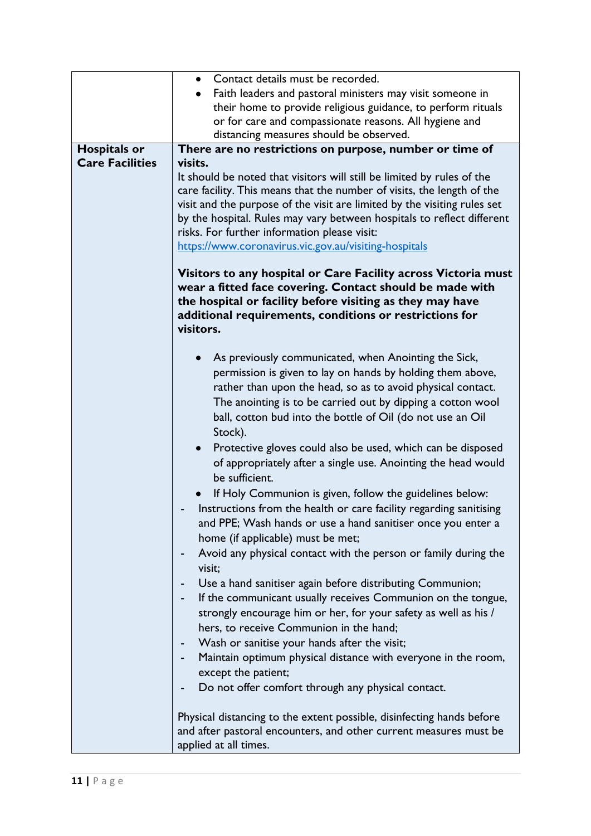|                        | • Contact details must be recorded.                                                                                                                                                                                                                             |
|------------------------|-----------------------------------------------------------------------------------------------------------------------------------------------------------------------------------------------------------------------------------------------------------------|
|                        | Faith leaders and pastoral ministers may visit someone in                                                                                                                                                                                                       |
|                        | their home to provide religious guidance, to perform rituals                                                                                                                                                                                                    |
|                        | or for care and compassionate reasons. All hygiene and                                                                                                                                                                                                          |
|                        | distancing measures should be observed.                                                                                                                                                                                                                         |
| <b>Hospitals or</b>    | There are no restrictions on purpose, number or time of                                                                                                                                                                                                         |
| <b>Care Facilities</b> | visits.                                                                                                                                                                                                                                                         |
|                        | It should be noted that visitors will still be limited by rules of the                                                                                                                                                                                          |
|                        | care facility. This means that the number of visits, the length of the                                                                                                                                                                                          |
|                        | visit and the purpose of the visit are limited by the visiting rules set                                                                                                                                                                                        |
|                        | by the hospital. Rules may vary between hospitals to reflect different                                                                                                                                                                                          |
|                        | risks. For further information please visit:                                                                                                                                                                                                                    |
|                        | https://www.coronavirus.vic.gov.au/visiting-hospitals                                                                                                                                                                                                           |
|                        |                                                                                                                                                                                                                                                                 |
|                        | Visitors to any hospital or Care Facility across Victoria must<br>wear a fitted face covering. Contact should be made with<br>the hospital or facility before visiting as they may have<br>additional requirements, conditions or restrictions for<br>visitors. |
|                        |                                                                                                                                                                                                                                                                 |
|                        | As previously communicated, when Anointing the Sick,                                                                                                                                                                                                            |
|                        | permission is given to lay on hands by holding them above,                                                                                                                                                                                                      |
|                        | rather than upon the head, so as to avoid physical contact.                                                                                                                                                                                                     |
|                        | The anointing is to be carried out by dipping a cotton wool                                                                                                                                                                                                     |
|                        | ball, cotton bud into the bottle of Oil (do not use an Oil                                                                                                                                                                                                      |
|                        | Stock).                                                                                                                                                                                                                                                         |
|                        | Protective gloves could also be used, which can be disposed<br>$\bullet$                                                                                                                                                                                        |
|                        | of appropriately after a single use. Anointing the head would                                                                                                                                                                                                   |
|                        | be sufficient.                                                                                                                                                                                                                                                  |
|                        | If Holy Communion is given, follow the guidelines below:                                                                                                                                                                                                        |
|                        | Instructions from the health or care facility regarding sanitising                                                                                                                                                                                              |
|                        | and PPE; Wash hands or use a hand sanitiser once you enter a                                                                                                                                                                                                    |
|                        | home (if applicable) must be met;                                                                                                                                                                                                                               |
|                        |                                                                                                                                                                                                                                                                 |
|                        | Avoid any physical contact with the person or family during the<br>-                                                                                                                                                                                            |
|                        | visit;                                                                                                                                                                                                                                                          |
|                        | Use a hand sanitiser again before distributing Communion;                                                                                                                                                                                                       |
|                        | If the communicant usually receives Communion on the tongue,                                                                                                                                                                                                    |
|                        | strongly encourage him or her, for your safety as well as his /                                                                                                                                                                                                 |
|                        | hers, to receive Communion in the hand;                                                                                                                                                                                                                         |
|                        | Wash or sanitise your hands after the visit;                                                                                                                                                                                                                    |
|                        | Maintain optimum physical distance with everyone in the room,                                                                                                                                                                                                   |
|                        | except the patient;                                                                                                                                                                                                                                             |
|                        | Do not offer comfort through any physical contact.                                                                                                                                                                                                              |
|                        |                                                                                                                                                                                                                                                                 |
|                        | Physical distancing to the extent possible, disinfecting hands before                                                                                                                                                                                           |
|                        | and after pastoral encounters, and other current measures must be                                                                                                                                                                                               |
|                        | applied at all times.                                                                                                                                                                                                                                           |